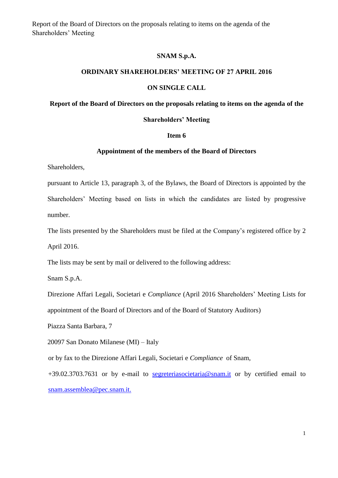### **SNAM S.p.A.**

## **ORDINARY SHAREHOLDERS' MEETING OF 27 APRIL 2016**

### **ON SINGLE CALL**

## **Report of the Board of Directors on the proposals relating to items on the agenda of the**

#### **Shareholders' Meeting**

## **Item 6**

#### **Appointment of the members of the Board of Directors**

Shareholders,

pursuant to Article 13, paragraph 3, of the Bylaws, the Board of Directors is appointed by the Shareholders' Meeting based on lists in which the candidates are listed by progressive number.

The lists presented by the Shareholders must be filed at the Company's registered office by 2

April 2016.

The lists may be sent by mail or delivered to the following address:

Snam S.p.A.

Direzione Affari Legali, Societari e *Compliance* (April 2016 Shareholders' Meeting Lists for appointment of the Board of Directors and of the Board of Statutory Auditors)

Piazza Santa Barbara, 7

20097 San Donato Milanese (MI) – Italy

or by fax to the Direzione Affari Legali, Societari e *Compliance* of Snam,

+39.02.3703.7631 or by e-mail to [segreteriasocietaria@snam.it](mailto:segreteriasocietaria@snam.it) or by certified email to [snam.assemblea@pec.snam.it.](mailto:snam.assemblea@pec.snam.it)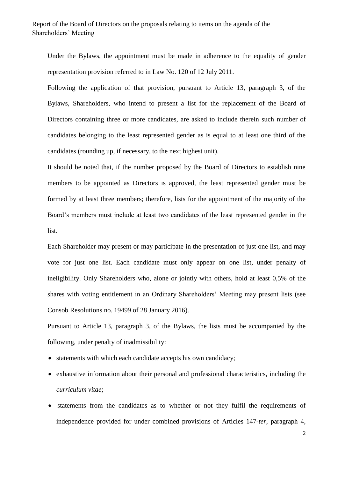Under the Bylaws, the appointment must be made in adherence to the equality of gender representation provision referred to in Law No. 120 of 12 July 2011.

Following the application of that provision, pursuant to Article 13, paragraph 3, of the Bylaws, Shareholders, who intend to present a list for the replacement of the Board of Directors containing three or more candidates, are asked to include therein such number of candidates belonging to the least represented gender as is equal to at least one third of the candidates (rounding up, if necessary, to the next highest unit).

It should be noted that, if the number proposed by the Board of Directors to establish nine members to be appointed as Directors is approved, the least represented gender must be formed by at least three members; therefore, lists for the appointment of the majority of the Board's members must include at least two candidates of the least represented gender in the list.

Each Shareholder may present or may participate in the presentation of just one list, and may vote for just one list. Each candidate must only appear on one list, under penalty of ineligibility. Only Shareholders who, alone or jointly with others, hold at least 0,5% of the shares with voting entitlement in an Ordinary Shareholders' Meeting may present lists (see Consob Resolutions no. 19499 of 28 January 2016).

Pursuant to Article 13, paragraph 3, of the Bylaws, the lists must be accompanied by the following, under penalty of inadmissibility:

- statements with which each candidate accepts his own candidacy;
- exhaustive information about their personal and professional characteristics, including the *curriculum vitae*;
- statements from the candidates as to whether or not they fulfil the requirements of independence provided for under combined provisions of Articles 147-*ter*, paragraph 4,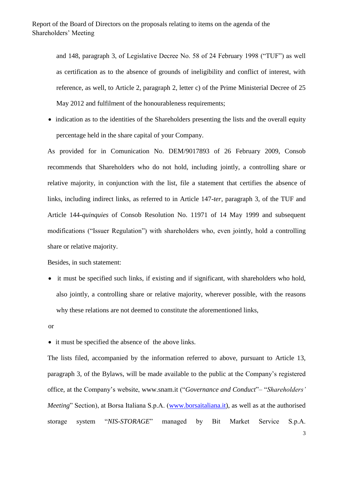and 148, paragraph 3, of Legislative Decree No. 58 of 24 February 1998 ("TUF") as well as certification as to the absence of grounds of ineligibility and conflict of interest, with reference, as well, to Article 2, paragraph 2, letter c) of the Prime Ministerial Decree of 25 May 2012 and fulfilment of the honourableness requirements:

• indication as to the identities of the Shareholders presenting the lists and the overall equity percentage held in the share capital of your Company.

As provided for in Comunication No. DEM/9017893 of 26 February 2009, Consob recommends that Shareholders who do not hold, including jointly, a controlling share or relative majority, in conjunction with the list, file a statement that certifies the absence of links, including indirect links, as referred to in Article 147-*ter*, paragraph 3, of the TUF and Article 144-*quinquies* of Consob Resolution No. 11971 of 14 May 1999 and subsequent modifications ("Issuer Regulation") with shareholders who, even jointly, hold a controlling share or relative majority.

Besides, in such statement:

- it must be specified such links, if existing and if significant, with shareholders who hold, also jointly, a controlling share or relative majority, wherever possible, with the reasons why these relations are not deemed to constitute the aforementioned links,
- or

• it must be specified the absence of the above links.

The lists filed, accompanied by the information referred to above, pursuant to Article 13, paragraph 3, of the Bylaws, will be made available to the public at the Company's registered office, at the Company's website, [www.snam.it](http://www.snam.it/) ("*Governance and Conduct*"– "*Shareholders' Meeting*" Section), at Borsa Italiana S.p.A. [\(www.borsaitaliana.it\)](http://www.borsaitaliana.it/), as well as at the authorised storage system "*NIS-STORAGE*" managed by Bit Market Service S.p.A.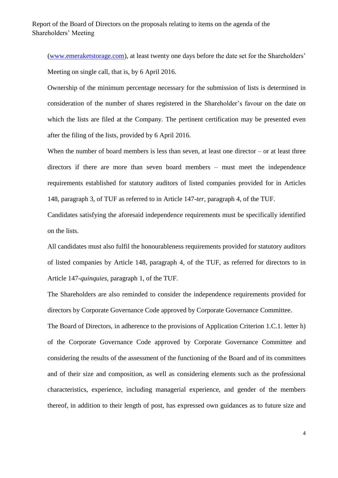[\(www.emeraketstorage.com\)](http://www.emeraketstorage.com/), at least twenty one days before the date set for the Shareholders' Meeting on single call, that is, by 6 April 2016.

Ownership of the minimum percentage necessary for the submission of lists is determined in consideration of the number of shares registered in the Shareholder's favour on the date on which the lists are filed at the Company. The pertinent certification may be presented even after the filing of the lists, provided by 6 April 2016.

When the number of board members is less than seven, at least one director – or at least three directors if there are more than seven board members – must meet the independence requirements established for statutory auditors of listed companies provided for in Articles 148, paragraph 3, of TUF as referred to in Article 147-*ter*, paragraph 4, of the TUF.

Candidates satisfying the aforesaid independence requirements must be specifically identified on the lists.

All candidates must also fulfil the honourableness requirements provided for statutory auditors of listed companies by Article 148, paragraph 4, of the TUF, as referred for directors to in Article 147-*quinquies*, paragraph 1, of the TUF.

The Shareholders are also reminded to consider the independence requirements provided for directors by Corporate Governance Code approved by Corporate Governance Committee.

The Board of Directors, in adherence to the provisions of Application Criterion 1.C.1. letter h) of the Corporate Governance Code approved by Corporate Governance Committee and considering the results of the assessment of the functioning of the Board and of its committees and of their size and composition, as well as considering elements such as the professional characteristics, experience, including managerial experience, and gender of the members thereof, in addition to their length of post, has expressed own guidances as to future size and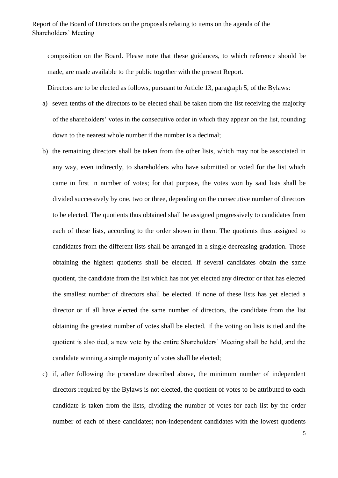composition on the Board. Please note that these guidances, to which reference should be made, are made available to the public together with the present Report.

Directors are to be elected as follows, pursuant to Article 13, paragraph 5, of the Bylaws:

- a) seven tenths of the directors to be elected shall be taken from the list receiving the majority of the shareholders' votes in the consecutive order in which they appear on the list, rounding down to the nearest whole number if the number is a decimal;
- b) the remaining directors shall be taken from the other lists, which may not be associated in any way, even indirectly, to shareholders who have submitted or voted for the list which came in first in number of votes; for that purpose, the votes won by said lists shall be divided successively by one, two or three, depending on the consecutive number of directors to be elected. The quotients thus obtained shall be assigned progressively to candidates from each of these lists, according to the order shown in them. The quotients thus assigned to candidates from the different lists shall be arranged in a single decreasing gradation. Those obtaining the highest quotients shall be elected. If several candidates obtain the same quotient, the candidate from the list which has not yet elected any director or that has elected the smallest number of directors shall be elected. If none of these lists has yet elected a director or if all have elected the same number of directors, the candidate from the list obtaining the greatest number of votes shall be elected. If the voting on lists is tied and the quotient is also tied, a new vote by the entire Shareholders' Meeting shall be held, and the candidate winning a simple majority of votes shall be elected;
- c) if, after following the procedure described above, the minimum number of independent directors required by the Bylaws is not elected, the quotient of votes to be attributed to each candidate is taken from the lists, dividing the number of votes for each list by the order number of each of these candidates; non-independent candidates with the lowest quotients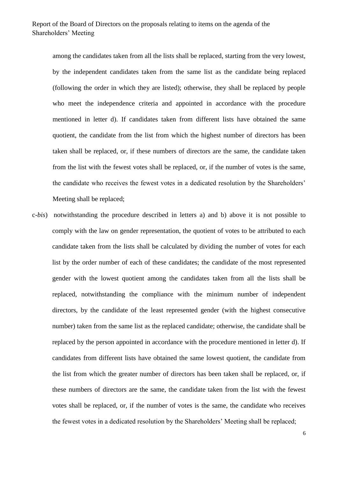among the candidates taken from all the lists shall be replaced, starting from the very lowest, by the independent candidates taken from the same list as the candidate being replaced (following the order in which they are listed); otherwise, they shall be replaced by people who meet the independence criteria and appointed in accordance with the procedure mentioned in letter d). If candidates taken from different lists have obtained the same quotient, the candidate from the list from which the highest number of directors has been taken shall be replaced, or, if these numbers of directors are the same, the candidate taken from the list with the fewest votes shall be replaced, or, if the number of votes is the same, the candidate who receives the fewest votes in a dedicated resolution by the Shareholders' Meeting shall be replaced;

c-*bis*) notwithstanding the procedure described in letters a) and b) above it is not possible to comply with the law on gender representation, the quotient of votes to be attributed to each candidate taken from the lists shall be calculated by dividing the number of votes for each list by the order number of each of these candidates; the candidate of the most represented gender with the lowest quotient among the candidates taken from all the lists shall be replaced, notwithstanding the compliance with the minimum number of independent directors, by the candidate of the least represented gender (with the highest consecutive number) taken from the same list as the replaced candidate; otherwise, the candidate shall be replaced by the person appointed in accordance with the procedure mentioned in letter d). If candidates from different lists have obtained the same lowest quotient, the candidate from the list from which the greater number of directors has been taken shall be replaced, or, if these numbers of directors are the same, the candidate taken from the list with the fewest votes shall be replaced, or, if the number of votes is the same, the candidate who receives the fewest votes in a dedicated resolution by the Shareholders' Meeting shall be replaced;